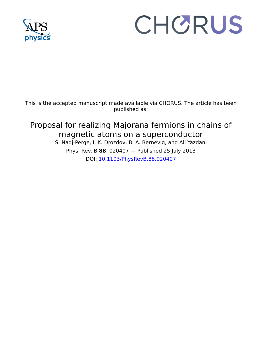

## CHORUS

This is the accepted manuscript made available via CHORUS. The article has been published as:

## Proposal for realizing Majorana fermions in chains of magnetic atoms on a superconductor S. Nadj-Perge, I. K. Drozdov, B. A. Bernevig, and Ali Yazdani

Phys. Rev. B **88**, 020407 — Published 25 July 2013 DOI: [10.1103/PhysRevB.88.020407](http://dx.doi.org/10.1103/PhysRevB.88.020407)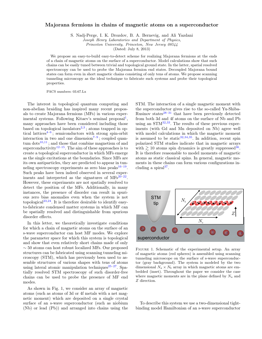## Majorana fermions in chains of magnetic atoms on a superconductor

S. Nadj-Perge, I. K. Drozdov, B. A. Bernevig, and Ali Yazdani

Joseph Henry Laboratories and Department of Physics,

Princeton University, Princeton, New Jersey 08544

(Dated: July 8, 2013)

We propose an easy-to-build easy-to-detect scheme for realizing Majorana fermions at the ends of a chain of magnetic atoms on the surface of a superconductor. Model calculations show that such chains can be easily tuned between trivial and topological ground state. In the latter, spatial resolved spectroscopy can be used to probe the Majorana fermion end states. Decoupled Majorana bound states can form even in short magnetic chains consisting of only tens of atoms. We propose scanning tunneling microscopy as the ideal technique to fabricate such systems and probe their topological properties.

PACS numbers: 03.67.Lx

The interest in topological quantum computing and non-abelian braiding has inspired many recent proposals to create Majorana fermions (MFs) in various exper-imental systems. Following Kitaev's seminal proposal<sup>[1](#page-4-0)</sup>, many approaches have been considered including those based on topological insulators<sup>[2,](#page-4-1)[3](#page-4-2)</sup>; atoms trapped in optical lattices[4](#page-4-3)[–6](#page-4-4) ; semiconductors with strong spin-orbit interaction in two and one dimension<sup> $7-9$  $7-9$ </sup>; coupled quan-tum dots<sup>[10,](#page-5-0)[11](#page-5-1)</sup>; and those that combine magnetism of and superconductivity<sup>[12](#page-5-2)[–15](#page-5-3)</sup>. The aim of these approaches is to create a topological superconductor in which MFs emerge as the single excitations at the boundaries. Since MFs are its own antiparticles, they are predicted to appear in tun-neling spectroscopy experiments as zero bias peaks<sup>[16–](#page-5-4)[19](#page-5-5)</sup>. Such peaks have been indeed observed in several experiments and interpreted as the signatures of  $MFs^{20-22}$  $MFs^{20-22}$  $MFs^{20-22}$ . However, these experiments are not spatially resolved to detect the position of the MFs. Additionally, in many instances, the presence of disorder can result in spurious zero bias anomalies even when the system is not topological<sup>[23,](#page-5-8)[24](#page-5-9)</sup>. It is therefore desirable to identify easyto-fabricate condensed matter systems in which MF can be spatially resolved and distinguishable from spurious disorder effects.

In this letter, we theoretically investigate conditions for which a chain of magnetic atoms on the surface of an s-wave superconductor can host MF modes. We explore the parameter space for which this system is topological and show that even relatively short chains made of only ∼ 50 atoms can host robust localized MFs. Our proposed structures can be fabricated using scanning tunneling microscopy (STM), which has previously been used to assemble structures of various shapes with tens of atoms using lateral atomic manipulation techniques<sup>[25–](#page-5-10)[27](#page-5-11)</sup>. Spatially resolved STM spectroscopy of such disorder-free chains can be used to probe the presence of MF end modes.

As shown in Fig. 1, we consider an array of magnetic atoms (such as atoms of 3d or 4f metals with a net magnetic moment) which are deposited on a single crystal surface of an s-wave superconductor (such as niobium (Nb) or lead (Pb)) and arranged into chains using the STM. The interaction of a single magnetic moment with the superconductor gives rise to the so-called Yu-Shiba-Rusinov states $28-31$  $28-31$  that have been previously detected from both 3d and 4f atoms on the surface of Nb and Pb using an  $STM^{32,33}$  $STM^{32,33}$  $STM^{32,33}$  $STM^{32,33}$ . The results of these previous experiments (with Gd and Mn deposited on Nb) agree well with model calculations in which the magnetic moment is assumed to be static  $(32,34,35)$  $(32,34,35)$  $(32,34,35)$  $(32,34,35)$  $(32,34,35)$ . In addition, recent spin polarized STM studies indicate that in magnetic arrays with  $\geq 10$  atoms spin dynamics is greatly suppressed<sup>[36](#page-5-18)</sup>. It is therefore reasonable to model moments of magnetic atoms as static classical spins. In general, magnetic moments in these chains can form various configurations including a spiral $3^7$ .



FIGURE 1. Schematic of the experimental setup. An array of magnetic atoms (red spheres) is assembled using scanning tunneling microscope on the surface of s-wave superconductor (gray background). The system is modeled by the two dimensional  $N_a \times N_b$  array in which magnetic atoms are embedded (inset). Throughout the paper we consider the case where magnetic moments are in the plane defined by  $N_a$  and Z direction.

To describe this system we use a two-dimensional tightbinding model Hamiltonian of an s-wave superconductor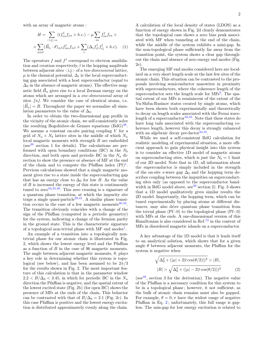with an array of magnetic atoms :

$$
H = \sum_{\langle i,j\rangle\alpha} (tf_{i\alpha}^{\dagger}f_{j\alpha} + h.c.) - \mu \sum_{i\alpha} f_{i\alpha}^{\dagger}f_{i\alpha} +
$$

$$
+ \sum_{n\alpha\beta} (\vec{B}_n \cdot \vec{\sigma})_{\alpha\beta} f_{n\alpha}^{\dagger}f_{n\beta} + \sum_{i} (\Delta_i f_{i\uparrow}^{\dagger} f_{i\downarrow}^{\dagger} + h.c). \quad (1)
$$

The operators f and  $f^{\dagger}$  correspond to electron annihilation and creation respectively,  $t$  is the hopping amplitude between adjacent sites  $\langle i, j \rangle$  of a two-dimensional lattice,  $\mu$  is the chemical potential,  $\Delta_i$  is the local superconducting gap associated with a host superconductor (equal to  $\Delta_0$  in the absence of magnetic atoms). The effective magnetic field  $\vec{B}_n$  gives rise to a local Zeeman energy on the atoms which are arranged in a one-dimensional array of sites  $\{n\}$ . We consider the case of identical atoms, i.e.  $|\vec{B}_n| = B$ . Throughout the paper we normalize all simulation parameters to the value of  $\Delta_0$ .

In order to obtain the two-dimensional gap profile in the vicinity of the atomic chain, we self-consistently solve the resulting Bogoliubov-de Gennes equations  $(BdG)^{38}$  $(BdG)^{38}$  $(BdG)^{38}$ . We assume a constant on-site pairing coupling  $V$  for a grid of  $N_a \times N_b$  lattice sites in the middle of which  $N_a$ local magnetic moments with strength B are embedded (see  $39$  section 1 for details). The calculations are performed with open boundary conditions (BC) in the  $N_b$ direction, and both open and periodic BC in the  $N_a$  direction to show the presence or absence of MF at the end of the chain and to compute the Pfaffian index  $(Pf)^{1}$  $(Pf)^{1}$  $(Pf)^{1}$ . Previous calculations showed that a single magnetic moment gives rise to a state inside the superconducting gap that has an energy close to  $\Delta_0$  for low B. As the value of  $B$  is increased the energy of this state is continuously tuned to zero $34,35,40$  $34,35,40$  $34,35,40$ . This zero crossing is a signature of a quantum phase transition, at which the impurity site traps a single quasi-particle<sup>[29,](#page-5-23)[41](#page-5-24)</sup>. A similar phase transition occurs in the case of a few magnetic moments  $40,42$  $40,42$ . The transition obviously coincides with a change of the sign of the Pfaffian (computed in a periodic geometry) for the system, indicating a change of the fermion parity in the ground state. This is the characteristic signature of a topological non-trivial phase with  $MF$  end modes<sup>[1](#page-4-0)</sup>.

An example of a transition into a topologically nontrivial phase for our atomic chain is illustrated in Fig. 2, which shows the lowest energy level and the Pfaffian as a function of B in the case of 96 magnetic moments. The angle between adjacent magnetic moments,  $\theta$ , plays a key role in determining whether this system is topological (see below), and has been assumed to be  $2\pi/3$ for the results shown in Fig. 2. The most important feature of this calculation is that in the parameter window  $2.2 < B/\Delta_0 < 3.45$ , in which for periodic BC in the  $N_a$ direction the Pfaffian is negative, and the spatial extent of the lowest excited state (Fig. 2b) (for open BC) shows the presence of MFs at the ends of the chain. This behavior can be contrasted with that of  $B/\Delta_0 = 2.1$  (Fig. 2c). In this case Pfaffian is positive and the lowest energy excitation is distributed approximately evenly along the chain.

A calculation of the local density of states (LDOS) as a function of energy shown in Fig. 2d clearly demonstrates that the topological case shows a zero bias peak associated with MF when tunneling at the end of the chain, while the middle of the system exhibits a mini-gap. In the non-topological phase sufficiently far away from the transition point, the system shows a clear gap throughout the chain and absence of zero energy end modes (Fig. 2e).

The emerging MF end modes considered here are localized on a very short length scale at the last few sites of the atomic chain. This situation can be contrasted to the proposals involving semiconductor nanowires in proximity with superconductors, where the coherence length of the superconductor sets the length scale for MFs<sup>[9](#page-4-6)</sup>. The spatial extent of our MFs is reminiscent of the extent of the Yu-Shiba-Rusinov states created by single atoms, which have been shown both experimentally and theoretically to decay on length scales associated with the Fermi wavelength of a superconductor  $32,35$  $32,35$ . Note that these states do have long tails associated with the superconducting coherence length, however this decay is strongly enhanced with an algebraic decay pre-factor  $34,35$  $34,35$ .

While we used a self-consistent BdG calculation for realistic modeling of experimental situation, a more efficient approach to gain physical insight into this system is to consider an effective 1D model of magnetic atoms on superconducting sites, which is just the  $N_b = 1$  limit of our 2D model. Note that in 1D, all information about the superconductor is simply included in the strength of the on-site s-wave gap  $\Delta_0$  and the hopping term describes coupling between the impurities on superconducting sites only (as opposed to the superconductor bandwidth in BdG model above,  $\sec^{39} \sec \theta$  $\sec^{39} \sec \theta$  $\sec^{39} \sec \theta$  2). Fig. 3 shows that a 1D model qualitatively gives similar results the 2D model. Importantly, the hopping term, which can be tuned experimentally by placing atoms at different distances, may also drive quantum phase transition from the trivial phase  $(Pf>0)$  to the topological phase  $(Pf<0)$ with MFs at the ends. A one-dimensional version of this Hamiltonian is also considered in Ref.<sup>[12](#page-5-2)</sup> in the context of MFs in disordered magnetic islands on a superconductor.

A key advantage of the 1D model is that it lends itself to an analytical solution, which shows that for a given angle  $\theta$  between adjacent moments, the Pfaffian for the system is negative when

<span id="page-2-0"></span>
$$
\sqrt{\Delta_0^2 + (|\mu| + 2|t\cos(\theta/2)|)^2} > |B|,
$$
  

$$
|B| > \sqrt{\Delta_0^2 + (|\mu| - 2|t\cos(\theta/2)|)^2}
$$
 (2)

(see  $39$ , section 3 for the derivation). The negative value of the Pfaffian is a necessary condition for this system to be in a topological phase ; however, it not sufficient, as the bulk of atomic chain remains must also be gapped. For example,  $\theta = 0, \pi$  have the widest range of negative Pfaffian in Eq. [2](#page-2-0) ; unfortunately, this full range is gapless. The min-gap for low energy excitation is related to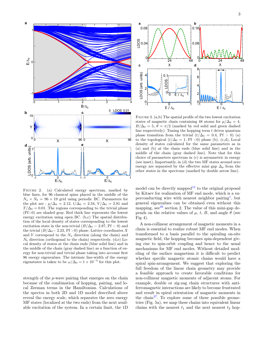

FIGURE 2. (a) Calculated energy spectrum, marked by blue lines, for 96 classical spins placed in the middle of the  $N_a \times N_b = 96 \times 19$  grid using periodic BC. Parameters for the plot are :  $\mu/\Delta_0 = 2.12$ ,  $t/\Delta_0 = 2.34$ ,  $V/\Delta_0 = 2.81$  and  $T/\Delta_0 = 0.01$ . The regions corresponding to the trivial phase  $(Pf>0)$  are shaded gray. Red thick line represents the lowest energy excitation using open BC. (b,c) The spatial distribution of the local density of states corresponding to the lowest excitation state in the non-trivial  $(B/\Delta_0 = 2.87, Pf < 0)$  and the trivial  $(B/\Delta_0=2.23, Pf > 0)$  phase. Lattice coordinates X and Y correspond to the  $N_a$  direction (along the chain) and  $N_b$  direction (orthogonal to the chain) respectively. (d,e) Local density of states at the chain ends (blue solid line) and in the middle of the chain (gray dashed line) as a function of energy for non-trivial and trivial phase taking into account first 96 energy eigenvalues. The intrinsic line-width of the energy eigenstates is taken to be  $\omega/\Delta_0 = 1 \times 10^{-3}$  for this plot.

strength of the p-wave pairing that emerges on the chain because of the combination of hopping, pairing, and local Zeeman terms in the Hamiltonian. Calculations of the spectra in both 2D and 1D model described above reveal the energy scale, which separates the zero energy MF states (localized at the two ends) from the next available excitation of the system. In a certain limit, the 1D



FIGURE 3. (a,b) The spatial profile of the two lowest excitation states of magnetic chain containing 48 atoms for  $\mu/\Delta_0 = 4$ ,  $B/\Delta_0 = 5, \theta = \pi/2$  (marked by red solid and green dashed line respectively). Tuning the hopping term  $t$  drives quantum phase transition from the trivial  $(t/\Delta_0 = 0.4, Pf > 0)$  (a) to the topological  $(t/\Delta_0 = 1, Pf \le 0)$  phase (b). (c,d), Local density of states calculated for the same parameters as in (a) and (b) at the chain ends (blue solid line) and in the middle of the chain (gray dashed line). Note that for this choice of parameters spectrum in (c) is asymmetric in energy (see inset). Importantly, in (d) the two MF states around zero energy are separated by the effective mini gap  $\Delta_p$  from the other states in the spectrum (marked by double arrow line).

model can be directly mapped<sup>[12](#page-5-2)</sup> to the original proposal by Kitaev for realization of MF end mode, which is a su-perconducting wire with nearest neighbor pairing<sup>[1](#page-4-0)</sup>, but general eigenvalues can be obtained even without this mapping,  $\sec^{39}$  $\sec^{39}$  $\sec^{39}$  section 2. The value of this mini-gap depends on the relative values of  $\mu$ , t, B, and angle  $\theta$  (see Fig 4).

A non-collinear arrangement of magnetic moments in a chain is essential to realize robust MF end modes. When transformed to a basis parallel to the spiraling on-site magnetic field, the hopping becomes spin-dependent giving rise to spin-orbit coupling and hence to the usual mechanisms for MF end modes. Without detailed modeling of the surface magnetism it is difficult to predict whether specific magnetic atomic chains would have a spiral spin-arrangement. We suggest that exploring the full freedom of the linear chain geometry may provide a feasible approach to create favorable conditions for non-collinear magnetic moments of adjacent atoms. For example, double or zig-zag chain structures with antiferromagnetic interactions are likely to become frustrated and result in spiral orientation of magnetic moments in the chain<sup>[37](#page-5-19)</sup>. To explore some of these possible geometries (Fig. 5a), we map these chains into equivalent linear chains with the nearest  $t_1$  and the next nearest  $t_2$  hop-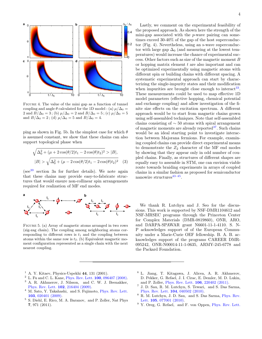

Figure 4. The value of the mini gap as a function of tunnel coupling and angle  $\theta$  calculated for the 1D model : (a)  $\mu/\Delta_0 =$ 2 and  $B/\Delta_0 = 3$ ; (b)  $\mu/\Delta_0 = 2$  and  $B/\Delta_0 = 5$ ; (c)  $\mu/\Delta_0 = 5$ and  $B/\Delta_0 = 2$ ; (d)  $\mu/\Delta_0 = 5$  and  $B/\Delta_0 = 4$ .

ping as shown in Fig. 5b. In the simplest case for which  $\theta$ is assumed constant, we show that these chains can also support topological phase when

$$
\sqrt{\Delta_0^2 + (\mu + 2\cos(\theta/2)t_1 - 2\cos(\theta)t_2)^2} > |B|,
$$
  

$$
|B| > \sqrt{\Delta_0^2 + (\mu - 2\cos(\theta/2)t_1 - 2\cos(\theta)t_2)^2}
$$
 (3)

 $(see<sup>39</sup> section 3a for further details). We note again$  $(see<sup>39</sup> section 3a for further details). We note again$  $(see<sup>39</sup> section 3a for further details). We note again$ that these chains may provide easy-to-fabricate structures that would ensure non-collinear spin arrangements required for realization of MF end modes.



Figure 5. (a) Array of magnetic atoms arranged in two rows (zig-zag chain). The coupling among neighboring atoms corresponding to different rows is  $t_1$  and the coupling between atoms within the same row is  $t_2$ . (b) Equivalent magnetic moment configuration represented as a single chain with the next nearest coupling.

Lastly, we comment on the experimental feasibility of the proposed approach. As shown here the strength of the mini-gap associated with the p-wave pairing can sometimes exceed 30-40% of the gap of the host superconductor (Fig. 4). Nevertheless, using an s-wave superconductor with large gap  $\Delta_0$  (and measuring at the lowest temperatures) would increase the chance of experimental success. Other factors such as size of the magnetic moment B or hopping matrix element  $t$  are also important and can be optimized experimentally using magnetic atoms with different spin or building chains with different spacing. A systematic experimental approach can start by characterizing the single-impurity states and their modification when impurities are brought close enough to interact  $33$ . These measurements could be used to map effective 1D model parameters (effective hopping, chemical potential and exchange coupling) and allow investigation of the finite size effects on the excitation spectrum. A different approach would be to start from magnetic chains grown using self-assembled techniques. Note that self-assembled chains consisting of  $\sim$  50 atoms with spiral arrangement of magnetic moments are already reported $37$ . Such chains would be an ideal starting point to investigate interaction between Majorana fermions. For example, examining coupled chains can provide direct experimental means to demonstrate the  $Z_2$  character of the MF end modes by showing that they appear only in odd number of coupled chains. Finally, as structures of different shapes are equally easy to assemble in STM, one can envision viable route towards braiding experiments in arrays of coupled chains in a similar fashion as proposed for semiconductor nanowire structures<sup>43-[45](#page-5-27)</sup>.

We thank R. Lutchyn and J. Seo for the discussions. This work is supported by NSF-DMR1104612 and NSF-MRSEC programs through the Princeton Center for Complex Materials (DMR-0819860), ONR, ARO, and DARPA-SPAWAR grant N6601-11-1-4110. S. N-P acknowledges support of of the European Community under a Marie-Curie OEF fellowship. B. A. B. acknowledges support of the programs CAREER DMR-095242, ONR-N00014-11-1-0635, ARMY-245-6778 and the Packard Foundation.

- <span id="page-4-0"></span> $<sup>1</sup>$  A. Y. Kitaev, Physics-Uspekhi 44, 131 (2001).</sup>
- <span id="page-4-1"></span><sup>2</sup> L. Fu and C. L. Kane, [Phys. Rev. Lett.](http://dx.doi.org/10.1103/PhysRevLett.100.096407) 100, 096407 (2008).
- <span id="page-4-2"></span><sup>3</sup> A. R. Akhmerov, J. Nilsson, and C. W. J. Beenakker, [Phys. Rev. Lett.](http://dx.doi.org/10.1103/PhysRevLett.102.216404) 102, 216404 (2009).
- <span id="page-4-3"></span><sup>4</sup> M. Sato, Y. Takahashi, and S. Fujimoto, [Phys. Rev. Lett.](http://dx.doi.org/10.1103/PhysRevLett.103.020401) 103[, 020401 \(2009\).](http://dx.doi.org/10.1103/PhysRevLett.103.020401)
- <sup>5</sup> S. Diehl, E. Rico, M. A. Baranov, and P. Zoller, Nat Phys 7, 971 (2011).
- <span id="page-4-4"></span><sup>6</sup> L. Jiang, T. Kitagawa, J. Alicea, A. R. Akhmerov, D. Pekker, G. Refael, J. I. Cirac, E. Demler, M. D. Lukin, and P. Zoller, [Phys. Rev. Lett.](http://dx.doi.org/10.1103/PhysRevLett.106.220402) 106, 220402 (2011).
- <span id="page-4-5"></span>7 J. D. Sau, R. M. Lutchyn, S. Tewari, and S. Das Sarma, [Phys. Rev. Lett.](http://dx.doi.org/ 10.1103/PhysRevLett.104.040502) 104, 040502 (2010).
- <sup>8</sup> R. M. Lutchyn, J. D. Sau, and S. Das Sarma, [Phys. Rev.](http://dx.doi.org/10.1103/PhysRevLett.105.077001) Lett. **105**[, 077001 \(2010\).](http://dx.doi.org/10.1103/PhysRevLett.105.077001)
- <span id="page-4-6"></span> $9\,$  Y. Oreg, G. Refael, and F. von Oppen, [Phys. Rev. Lett.](http://dx.doi.org/10.1103/PhysRevLett.105.177002)